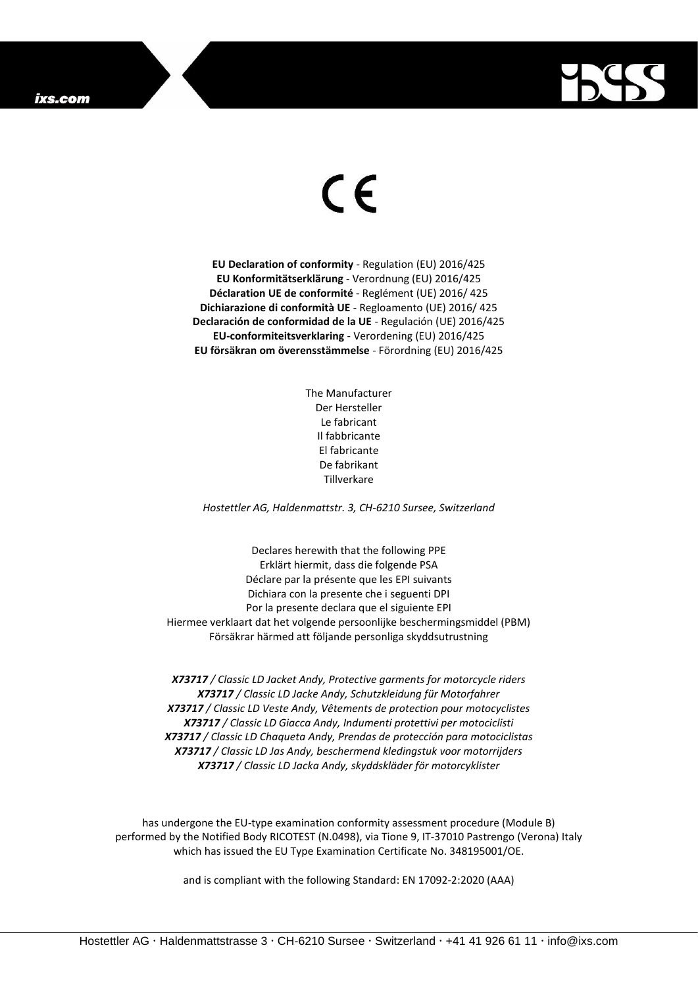## ixs.com



## $\epsilon$

**EU Declaration of conformity** - Regulation (EU) 2016/425 **EU Konformitätserklärung** - Verordnung (EU) 2016/425 **Déclaration UE de conformité** - Reglément (UE) 2016/ 425 **Dichiarazione di conformità UE** - Regloamento (UE) 2016/ 425 **Declaración de conformidad de la UE** - Regulación (UE) 2016/425 **EU-conformiteitsverklaring** - Verordening (EU) 2016/425 **EU försäkran om överensstämmelse** - Förordning (EU) 2016/425

> The Manufacturer Der Hersteller Le fabricant Il fabbricante El fabricante De fabrikant Tillverkare

*Hostettler AG, Haldenmattstr. 3, CH-6210 Sursee, Switzerland*

Declares herewith that the following PPE Erklärt hiermit, dass die folgende PSA Déclare par la présente que les EPI suivants Dichiara con la presente che i seguenti DPI Por la presente declara que el siguiente EPI Hiermee verklaart dat het volgende persoonlijke beschermingsmiddel (PBM) Försäkrar härmed att följande personliga skyddsutrustning

*X73717 / Classic LD Jacket Andy, Protective garments for motorcycle riders X73717 / Classic LD Jacke Andy, Schutzkleidung für Motorfahrer X73717 / Classic LD Veste Andy, Vêtements de protection pour motocyclistes X73717 / Classic LD Giacca Andy, Indumenti protettivi per motociclisti X73717 / Classic LD Chaqueta Andy, Prendas de protección para motociclistas X73717 / Classic LD Jas Andy, beschermend kledingstuk voor motorrijders X73717 / Classic LD Jacka Andy, skyddskläder för motorcyklister*

has undergone the EU-type examination conformity assessment procedure (Module B) performed by the Notified Body RICOTEST (N.0498), via Tione 9, IT-37010 Pastrengo (Verona) Italy which has issued the EU Type Examination Certificate No. 348195001/OE.

and is compliant with the following Standard: EN 17092-2:2020 (AAA)